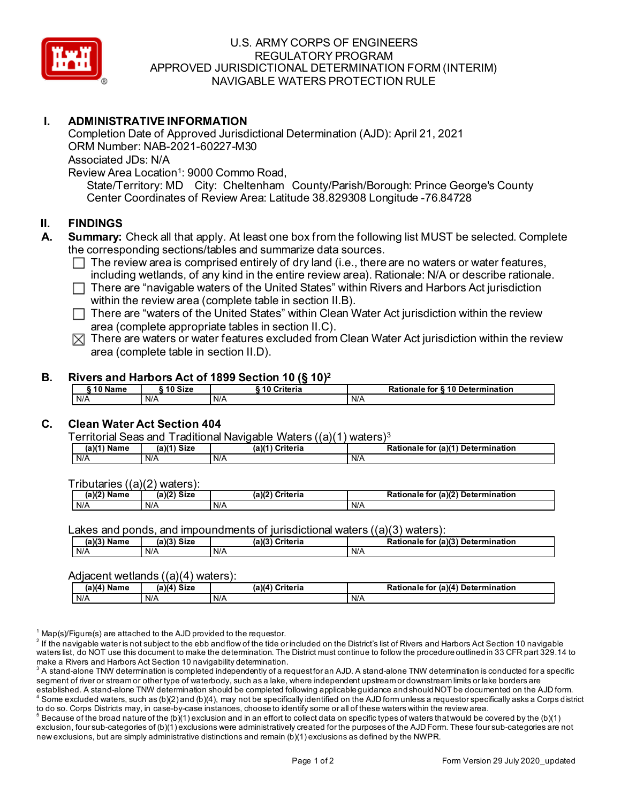

## U.S. ARMY CORPS OF ENGINEERS REGULATORY PROGRAM APPROVED JURISDICTIONAL DETERMINATION FORM (INTERIM) NAVIGABLE WATERS PROTECTION RULE

## **I. ADMINISTRATIVE INFORMATION**

Completion Date of Approved Jurisdictional Determination (AJD): April 21, 2021 ORM Number: NAB-2021-60227-M30 Associated JDs: N/A Review Area Location<sup>1</sup>: 9000 Commo Road,

State/Territory: MD City: Cheltenham County/Parish/Borough: Prince George's County Center Coordinates of Review Area: Latitude 38.829308 Longitude -76.84728

## **II. FINDINGS**

- **A. Summary:** Check all that apply. At least one box from the following list MUST be selected. Complete the corresponding sections/tables and summarize data sources.
	- $\Box$  The review area is comprised entirely of dry land (i.e., there are no waters or water features, including wetlands, of any kind in the entire review area). Rationale: N/A or describe rationale.
	- $\Box$  There are "navigable waters of the United States" within Rivers and Harbors Act jurisdiction within the review area (complete table in section II.B).
	- $\Box$  There are "waters of the United States" within Clean Water Act jurisdiction within the review area (complete appropriate tables in section II.C).
	- $\boxtimes$  There are waters or water features excluded from Clean Water Act jurisdiction within the review area (complete table in section II.D).

## **B. Rivers and Harbors Act of 1899 Section 10 (§ 10)2**

| ົ 10 Name | 10 Size | ` 10 Criteria | Rationale for §10 Determination |
|-----------|---------|---------------|---------------------------------|
| N/A       | N/A     | N/A           | N/A                             |

# **C. Clean Water Act Section 404**

Territorial Seas and Traditional Navigable Waters ((a)(1) waters)3

| $(a)(1)$ Name | $(a)(1)$ Size | $(a)^{n}$<br><b>Criteria</b> | <b>Rationale for</b><br>(a)(1) Determination |
|---------------|---------------|------------------------------|----------------------------------------------|
| N/A           | N/A           | N/A                          | N/A                                          |

Tributaries ((a)(2) waters):

| (a)(2`<br>. .<br>Name | a)(2)<br><b>Size</b> | $\sqrt{10}$<br>.<br>Criteria<br>г.<br>и. | . (a)(2`<br>Detern.<br>↑tionale<br>mination<br>to<br>rа |
|-----------------------|----------------------|------------------------------------------|---------------------------------------------------------|
| N/A                   | N/A                  | N/A                                      | N/A                                                     |

Lakes and ponds, and impoundments of jurisdictional waters  $((a)(3)$  waters):

| $(a)(3)$ Name | $(a)(3)$ Size | (a)(3)<br>Criteria | Rationale for (a)(3) Determination |
|---------------|---------------|--------------------|------------------------------------|
| N/A           | N/A           | N/A                | N/A                                |

#### Adjacent wetlands ((a)(4) waters):

| (a)(4) Name | (a)(4) Size | Criteria<br>$(a)(4)$ $\cap$ | (a)(4) Determination<br>Rationale<br>for |
|-------------|-------------|-----------------------------|------------------------------------------|
| N/A         | N/A         | N/A                         | N/A                                      |

 $1$  Map(s)/Figure(s) are attached to the AJD provided to the requestor.

 $2$  If the navigable water is not subject to the ebb and flow of the tide or included on the District's list of Rivers and Harbors Act Section 10 navigable waters list, do NOT use this document to make the determination. The District must continue to follow the procedure outlined in 33 CFR part 329.14 to make a Rivers and Harbors Act Section 10 navigability determination.

 $^{\rm 3}$  A stand-alone TNW determination is completed independently of a request for an AJD. A stand-alone TNW determination is conducted for a specific segment of river or stream or other type of waterbody, such as a lake, where independent upstream or downstream limits or lake borders are established. A stand-alone TNW determination should be completed following applicable guidance and should NOT be documented on the AJD form.

 $^4$  Some excluded waters, such as (b)(2) and (b)(4), may not be specifically identified on the AJD form unless a requestor specifically asks a Corps district to do so. Corps Districts may, in case-by-case instances, choose to identify some or all of these waters within the review area.

 $^5$  Because of the broad nature of the (b)(1) exclusion and in an effort to collect data on specific types of waters that would be covered by the (b)(1) exclusion, four sub-categories of (b)(1) exclusions were administratively created for the purposes of the AJD Form. These four sub-categories are not new exclusions, but are simply administrative distinctions and remain (b)(1) exclusions as defined by the NWPR.